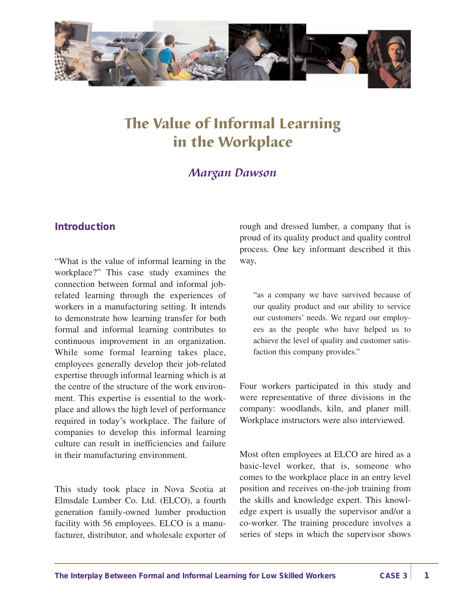

# The Value of Informal Learning in the Workplace

## *Margan Dawson*

#### **Introduction**

"What is the value of informal learning in the workplace?" This case study examines the connection between formal and informal jobrelated learning through the experiences of workers in a manufacturing setting. It intends to demonstrate how learning transfer for both formal and informal learning contributes to continuous improvement in an organization. While some formal learning takes place, employees generally develop their job-related expertise through informal learning which is at the centre of the structure of the work environment. This expertise is essential to the workplace and allows the high level of performance required in today's workplace. The failure of companies to develop this informal learning culture can result in inefficiencies and failure in their manufacturing environment.

This study took place in Nova Scotia at Elmsdale Lumber Co. Ltd. (ELCO), a fourth generation family-owned lumber production facility with 56 employees. ELCO is a manufacturer, distributor, and wholesale exporter of rough and dressed lumber, a company that is proud of its quality product and quality control process. One key informant described it this way,

"as a company we have survived because of our quality product and our ability to service our customers' needs. We regard our employees as the people who have helped us to achieve the level of quality and customer satisfaction this company provides."

Four workers participated in this study and were representative of three divisions in the company: woodlands, kiln, and planer mill. Workplace instructors were also interviewed.

Most often employees at ELCO are hired as a basic-level worker, that is, someone who comes to the workplace place in an entry level position and receives on-the-job training from the skills and knowledge expert. This knowledge expert is usually the supervisor and/or a co-worker. The training procedure involves a series of steps in which the supervisor shows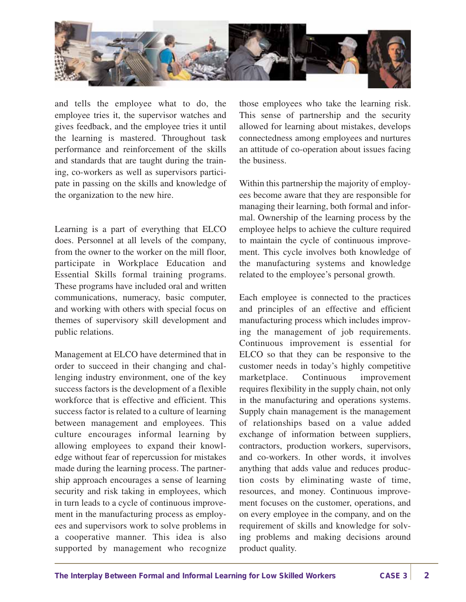

and tells the employee what to do, the employee tries it, the supervisor watches and gives feedback, and the employee tries it until the learning is mastered. Throughout task performance and reinforcement of the skills and standards that are taught during the training, co-workers as well as supervisors participate in passing on the skills and knowledge of the organization to the new hire.

Learning is a part of everything that ELCO does. Personnel at all levels of the company, from the owner to the worker on the mill floor, participate in Workplace Education and Essential Skills formal training programs. These programs have included oral and written communications, numeracy, basic computer, and working with others with special focus on themes of supervisory skill development and public relations.

Management at ELCO have determined that in order to succeed in their changing and challenging industry environment, one of the key success factors is the development of a flexible workforce that is effective and efficient. This success factor is related to a culture of learning between management and employees. This culture encourages informal learning by allowing employees to expand their knowledge without fear of repercussion for mistakes made during the learning process. The partnership approach encourages a sense of learning security and risk taking in employees, which in turn leads to a cycle of continuous improvement in the manufacturing process as employees and supervisors work to solve problems in a cooperative manner. This idea is also supported by management who recognize

those employees who take the learning risk. This sense of partnership and the security allowed for learning about mistakes, develops connectedness among employees and nurtures an attitude of co-operation about issues facing the business.

Within this partnership the majority of employees become aware that they are responsible for managing their learning, both formal and informal. Ownership of the learning process by the employee helps to achieve the culture required to maintain the cycle of continuous improvement. This cycle involves both knowledge of the manufacturing systems and knowledge related to the employee's personal growth.

Each employee is connected to the practices and principles of an effective and efficient manufacturing process which includes improving the management of job requirements. Continuous improvement is essential for ELCO so that they can be responsive to the customer needs in today's highly competitive marketplace. Continuous improvement requires flexibility in the supply chain, not only in the manufacturing and operations systems. Supply chain management is the management of relationships based on a value added exchange of information between suppliers, contractors, production workers, supervisors, and co-workers. In other words, it involves anything that adds value and reduces production costs by eliminating waste of time, resources, and money. Continuous improvement focuses on the customer, operations, and on every employee in the company, and on the requirement of skills and knowledge for solving problems and making decisions around product quality.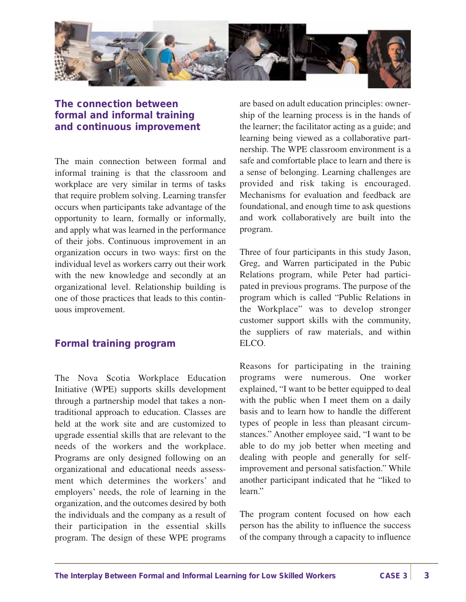

### **The connection between formal and informal training and continuous improvement**

The main connection between formal and informal training is that the classroom and workplace are very similar in terms of tasks that require problem solving. Learning transfer occurs when participants take advantage of the opportunity to learn, formally or informally, and apply what was learned in the performance of their jobs. Continuous improvement in an organization occurs in two ways: first on the individual level as workers carry out their work with the new knowledge and secondly at an organizational level. Relationship building is one of those practices that leads to this continuous improvement.

#### **Formal training program**

The Nova Scotia Workplace Education Initiative (WPE) supports skills development through a partnership model that takes a nontraditional approach to education. Classes are held at the work site and are customized to upgrade essential skills that are relevant to the needs of the workers and the workplace. Programs are only designed following on an organizational and educational needs assessment which determines the workers' and employers' needs, the role of learning in the organization, and the outcomes desired by both the individuals and the company as a result of their participation in the essential skills program. The design of these WPE programs

are based on adult education principles: ownership of the learning process is in the hands of the learner; the facilitator acting as a guide; and learning being viewed as a collaborative partnership. The WPE classroom environment is a safe and comfortable place to learn and there is a sense of belonging. Learning challenges are provided and risk taking is encouraged. Mechanisms for evaluation and feedback are foundational, and enough time to ask questions and work collaboratively are built into the program.

Three of four participants in this study Jason, Greg, and Warren participated in the Pubic Relations program, while Peter had participated in previous programs. The purpose of the program which is called "Public Relations in the Workplace" was to develop stronger customer support skills with the community, the suppliers of raw materials, and within ELCO.

Reasons for participating in the training programs were numerous. One worker explained, "I want to be better equipped to deal with the public when I meet them on a daily basis and to learn how to handle the different types of people in less than pleasant circumstances." Another employee said, "I want to be able to do my job better when meeting and dealing with people and generally for selfimprovement and personal satisfaction." While another participant indicated that he "liked to learn."

The program content focused on how each person has the ability to influence the success of the company through a capacity to influence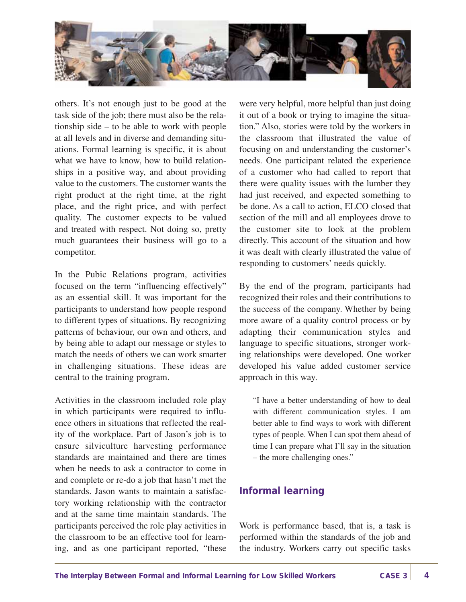

others. It's not enough just to be good at the task side of the job; there must also be the relationship side – to be able to work with people at all levels and in diverse and demanding situations. Formal learning is specific, it is about what we have to know, how to build relationships in a positive way, and about providing value to the customers. The customer wants the right product at the right time, at the right place, and the right price, and with perfect quality. The customer expects to be valued and treated with respect. Not doing so, pretty much guarantees their business will go to a competitor.

In the Pubic Relations program, activities focused on the term "influencing effectively" as an essential skill. It was important for the participants to understand how people respond to different types of situations. By recognizing patterns of behaviour, our own and others, and by being able to adapt our message or styles to match the needs of others we can work smarter in challenging situations. These ideas are central to the training program.

Activities in the classroom included role play in which participants were required to influence others in situations that reflected the reality of the workplace. Part of Jason's job is to ensure silviculture harvesting performance standards are maintained and there are times when he needs to ask a contractor to come in and complete or re-do a job that hasn't met the standards. Jason wants to maintain a satisfactory working relationship with the contractor and at the same time maintain standards. The participants perceived the role play activities in the classroom to be an effective tool for learning, and as one participant reported, "these

were very helpful, more helpful than just doing it out of a book or trying to imagine the situation." Also, stories were told by the workers in the classroom that illustrated the value of focusing on and understanding the customer's needs. One participant related the experience of a customer who had called to report that there were quality issues with the lumber they had just received, and expected something to be done. As a call to action, ELCO closed that section of the mill and all employees drove to the customer site to look at the problem directly. This account of the situation and how it was dealt with clearly illustrated the value of responding to customers' needs quickly.

By the end of the program, participants had recognized their roles and their contributions to the success of the company. Whether by being more aware of a quality control process or by adapting their communication styles and language to specific situations, stronger working relationships were developed. One worker developed his value added customer service approach in this way.

"I have a better understanding of how to deal with different communication styles. I am better able to find ways to work with different types of people. When I can spot them ahead of time I can prepare what I'll say in the situation – the more challenging ones."

#### **Informal learning**

Work is performance based, that is, a task is performed within the standards of the job and the industry. Workers carry out specific tasks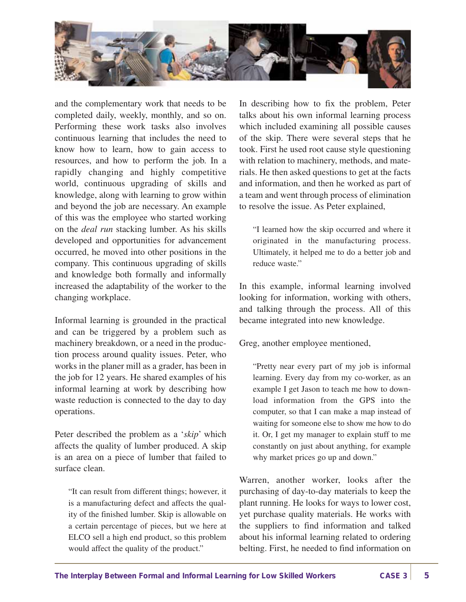

and the complementary work that needs to be completed daily, weekly, monthly, and so on. Performing these work tasks also involves continuous learning that includes the need to know how to learn, how to gain access to resources, and how to perform the job. In a rapidly changing and highly competitive world, continuous upgrading of skills and knowledge, along with learning to grow within and beyond the job are necessary. An example of this was the employee who started working on the *deal run* stacking lumber. As his skills developed and opportunities for advancement occurred, he moved into other positions in the company. This continuous upgrading of skills and knowledge both formally and informally increased the adaptability of the worker to the changing workplace.

Informal learning is grounded in the practical and can be triggered by a problem such as machinery breakdown, or a need in the production process around quality issues. Peter, who works in the planer mill as a grader, has been in the job for 12 years. He shared examples of his informal learning at work by describing how waste reduction is connected to the day to day operations.

Peter described the problem as a '*skip*' which affects the quality of lumber produced. A skip is an area on a piece of lumber that failed to surface clean.

"It can result from different things; however, it is a manufacturing defect and affects the quality of the finished lumber. Skip is allowable on a certain percentage of pieces, but we here at ELCO sell a high end product, so this problem would affect the quality of the product."

In describing how to fix the problem, Peter talks about his own informal learning process which included examining all possible causes of the skip. There were several steps that he took. First he used root cause style questioning with relation to machinery, methods, and materials. He then asked questions to get at the facts and information, and then he worked as part of a team and went through process of elimination to resolve the issue. As Peter explained,

"I learned how the skip occurred and where it originated in the manufacturing process. Ultimately, it helped me to do a better job and reduce waste."

In this example, informal learning involved looking for information, working with others, and talking through the process. All of this became integrated into new knowledge.

Greg, another employee mentioned,

"Pretty near every part of my job is informal learning. Every day from my co-worker, as an example I get Jason to teach me how to download information from the GPS into the computer, so that I can make a map instead of waiting for someone else to show me how to do it. Or, I get my manager to explain stuff to me constantly on just about anything, for example why market prices go up and down."

Warren, another worker, looks after the purchasing of day-to-day materials to keep the plant running. He looks for ways to lower cost, yet purchase quality materials. He works with the suppliers to find information and talked about his informal learning related to ordering belting. First, he needed to find information on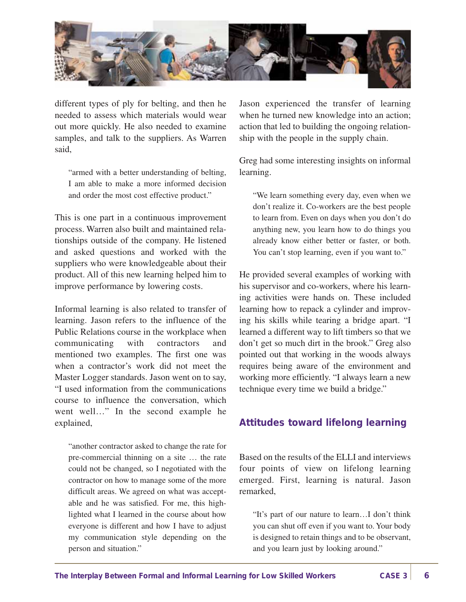

different types of ply for belting, and then he needed to assess which materials would wear out more quickly. He also needed to examine samples, and talk to the suppliers. As Warren said,

"armed with a better understanding of belting, I am able to make a more informed decision and order the most cost effective product."

This is one part in a continuous improvement process. Warren also built and maintained relationships outside of the company. He listened and asked questions and worked with the suppliers who were knowledgeable about their product. All of this new learning helped him to improve performance by lowering costs.

Informal learning is also related to transfer of learning. Jason refers to the influence of the Public Relations course in the workplace when communicating with contractors and mentioned two examples. The first one was when a contractor's work did not meet the Master Logger standards. Jason went on to say, "I used information from the communications course to influence the conversation, which went well…" In the second example he explained,

"another contractor asked to change the rate for pre-commercial thinning on a site … the rate could not be changed, so I negotiated with the contractor on how to manage some of the more difficult areas. We agreed on what was acceptable and he was satisfied. For me, this highlighted what I learned in the course about how everyone is different and how I have to adjust my communication style depending on the person and situation."

Jason experienced the transfer of learning when he turned new knowledge into an action; action that led to building the ongoing relationship with the people in the supply chain.

Greg had some interesting insights on informal learning.

"We learn something every day, even when we don't realize it. Co-workers are the best people to learn from. Even on days when you don't do anything new, you learn how to do things you already know either better or faster, or both. You can't stop learning, even if you want to."

He provided several examples of working with his supervisor and co-workers, where his learning activities were hands on. These included learning how to repack a cylinder and improving his skills while tearing a bridge apart. "I learned a different way to lift timbers so that we don't get so much dirt in the brook." Greg also pointed out that working in the woods always requires being aware of the environment and working more efficiently. "I always learn a new technique every time we build a bridge."

#### **Attitudes toward lifelong learning**

Based on the results of the ELLI and interviews four points of view on lifelong learning emerged. First, learning is natural. Jason remarked,

"It's part of our nature to learn…I don't think you can shut off even if you want to. Your body is designed to retain things and to be observant, and you learn just by looking around."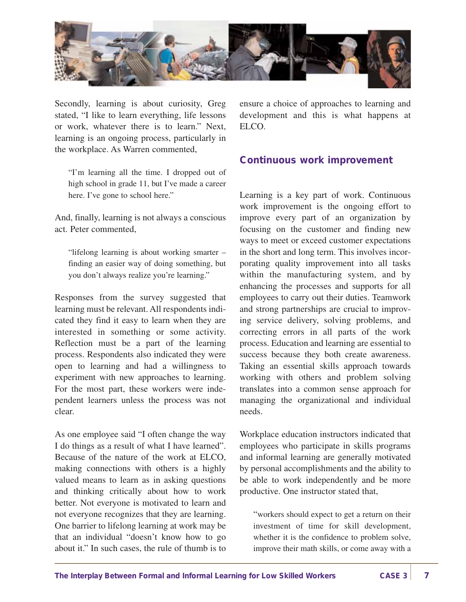

Secondly, learning is about curiosity, Greg stated, "I like to learn everything, life lessons or work, whatever there is to learn." Next, learning is an ongoing process, particularly in the workplace. As Warren commented,

"I'm learning all the time. I dropped out of high school in grade 11, but I've made a career here. I've gone to school here."

And, finally, learning is not always a conscious act. Peter commented,

"lifelong learning is about working smarter – finding an easier way of doing something, but you don't always realize you're learning."

Responses from the survey suggested that learning must be relevant. All respondents indicated they find it easy to learn when they are interested in something or some activity. Reflection must be a part of the learning process. Respondents also indicated they were open to learning and had a willingness to experiment with new approaches to learning. For the most part, these workers were independent learners unless the process was not clear.

As one employee said "I often change the way I do things as a result of what I have learned". Because of the nature of the work at ELCO, making connections with others is a highly valued means to learn as in asking questions and thinking critically about how to work better. Not everyone is motivated to learn and not everyone recognizes that they are learning. One barrier to lifelong learning at work may be that an individual "doesn't know how to go about it." In such cases, the rule of thumb is to

ensure a choice of approaches to learning and development and this is what happens at ELCO.

#### **Continuous work improvement**

Learning is a key part of work. Continuous work improvement is the ongoing effort to improve every part of an organization by focusing on the customer and finding new ways to meet or exceed customer expectations in the short and long term. This involves incorporating quality improvement into all tasks within the manufacturing system, and by enhancing the processes and supports for all employees to carry out their duties. Teamwork and strong partnerships are crucial to improving service delivery, solving problems, and correcting errors in all parts of the work process. Education and learning are essential to success because they both create awareness. Taking an essential skills approach towards working with others and problem solving translates into a common sense approach for managing the organizational and individual needs.

Workplace education instructors indicated that employees who participate in skills programs and informal learning are generally motivated by personal accomplishments and the ability to be able to work independently and be more productive. One instructor stated that,

"workers should expect to get a return on their investment of time for skill development, whether it is the confidence to problem solve, improve their math skills, or come away with a